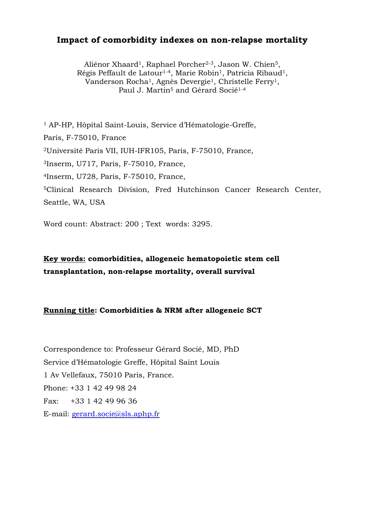## **Impact of comorbidity indexes on non-relapse mortality**

Aliénor Xhaard<sup>1</sup>, Raphael Porcher<sup>2-3</sup>, Jason W. Chien<sup>5</sup>, Régis Peffault de Latour<sup>1-4</sup>, Marie Robin<sup>1</sup>, Patricia Ribaud<sup>1</sup>, Vanderson Rocha1, Agnès Devergie1, Christelle Ferry1, Paul J. Martin<sup>5</sup> and Gérard Socié<sup>1-4</sup>

1 AP-HP, Hôpital Saint-Louis, Service d'Hématologie-Greffe, Paris, F-75010, France 2Université Paris VII, IUH-IFR105, Paris, F-75010, France, 3Inserm, U717, Paris, F-75010, France, 4Inserm, U728, Paris, F-75010, France, 5Clinical Research Division, Fred Hutchinson Cancer Research Center, Seattle, WA, USA

Word count: Abstract: 200 ; Text words: 3295.

**Key words: comorbidities, allogeneic hematopoietic stem cell transplantation, non-relapse mortality, overall survival** 

#### **Running title: Comorbidities & NRM after allogeneic SCT**

Correspondence to: Professeur Gérard Socié, MD, PhD Service d'Hématologie Greffe, Hôpital Saint Louis 1 Av Vellefaux, 75010 Paris, France. Phone: +33 1 42 49 98 24 Fax: +33 1 42 49 96 36 E-mail: [gerard.socie@sls.aphp.fr](mailto:gerard.socie@sls.aphp.fr%0CAbstract)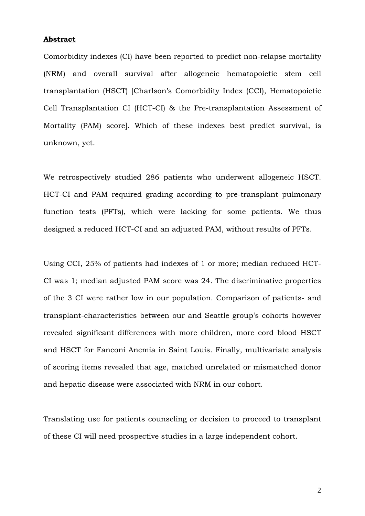## **[Abstract](mailto:gerard.socie@sls.aphp.fr%0CAbstract)**

Comorbidity indexes (CI) have been reported to predict non-relapse mortality (NRM) and overall survival after allogeneic hematopoietic stem cell transplantation (HSCT) [Charlson's Comorbidity Index (CCI), Hematopoietic Cell Transplantation CI (HCT-CI) & the Pre-transplantation Assessment of Mortality (PAM) score]. Which of these indexes best predict survival, is unknown, yet.

We retrospectively studied 286 patients who underwent allogeneic HSCT. HCT-CI and PAM required grading according to pre-transplant pulmonary function tests (PFTs), which were lacking for some patients. We thus designed a reduced HCT-CI and an adjusted PAM, without results of PFTs.

Using CCI, 25% of patients had indexes of 1 or more; median reduced HCT-CI was 1; median adjusted PAM score was 24. The discriminative properties of the 3 CI were rather low in our population. Comparison of patients- and transplant-characteristics between our and Seattle group's cohorts however revealed significant differences with more children, more cord blood HSCT and HSCT for Fanconi Anemia in Saint Louis. Finally, multivariate analysis of scoring items revealed that age, matched unrelated or mismatched donor and hepatic disease were associated with NRM in our cohort.

Translating use for patients counseling or decision to proceed to transplant of these CI will need prospective studies in a large independent cohort.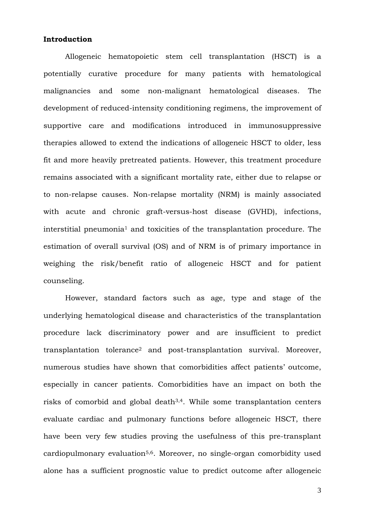#### **Introduction**

Allogeneic hematopoietic stem cell transplantation (HSCT) is a potentially curative procedure for many patients with hematological malignancies and some non-malignant hematological diseases. The development of reduced-intensity conditioning regimens, the improvement of supportive care and modifications introduced in immunosuppressive therapies allowed to extend the indications of allogeneic HSCT to older, less fit and more heavily pretreated patients. However, this treatment procedure remains associated with a significant mortality rate, either due to relapse or to non-relapse causes. Non-relapse mortality (NRM) is mainly associated with acute and chronic graft-versus-host disease (GVHD), infections, interstitial pneumonia<sup>1</sup> and toxicities of the transplantation procedure. The estimation of overall survival (OS) and of NRM is of primary importance in weighing the risk/benefit ratio of allogeneic HSCT and for patient counseling.

However, standard factors such as age, type and stage of the underlying hematological disease and characteristics of the transplantation procedure lack discriminatory power and are insufficient to predict transplantation tolerance2 and post-transplantation survival. Moreover, numerous studies have shown that comorbidities affect patients' outcome, especially in cancer patients. Comorbidities have an impact on both the risks of comorbid and global death3,4. While some transplantation centers evaluate cardiac and pulmonary functions before allogeneic HSCT, there have been very few studies proving the usefulness of this pre-transplant cardiopulmonary evaluation5,6. Moreover, no single-organ comorbidity used alone has a sufficient prognostic value to predict outcome after allogeneic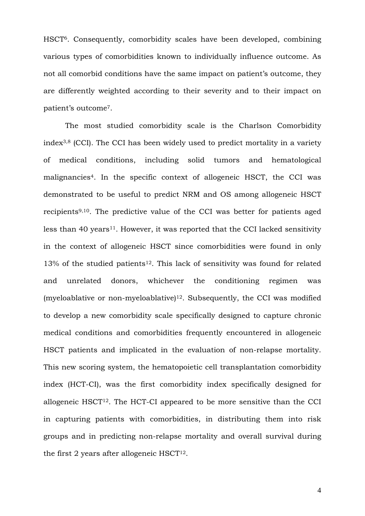HSCT6. Consequently, comorbidity scales have been developed, combining various types of comorbidities known to individually influence outcome. As not all comorbid conditions have the same impact on patient's outcome, they are differently weighted according to their severity and to their impact on patient's outcome7.

The most studied comorbidity scale is the Charlson Comorbidity index3,8 (CCI). The CCI has been widely used to predict mortality in a variety of medical conditions, including solid tumors and hematological malignancies4. In the specific context of allogeneic HSCT, the CCI was demonstrated to be useful to predict NRM and OS among allogeneic HSCT recipients9,10. The predictive value of the CCI was better for patients aged less than 40 years<sup>11</sup>. However, it was reported that the CCI lacked sensitivity in the context of allogeneic HSCT since comorbidities were found in only  $13\%$  of the studied patients<sup>12</sup>. This lack of sensitivity was found for related and unrelated donors, whichever the conditioning regimen was (myeloablative or non-myeloablative) $12$ . Subsequently, the CCI was modified to develop a new comorbidity scale specifically designed to capture chronic medical conditions and comorbidities frequently encountered in allogeneic HSCT patients and implicated in the evaluation of non-relapse mortality. This new scoring system, the hematopoietic cell transplantation comorbidity index (HCT-CI), was the first comorbidity index specifically designed for allogeneic HSCT12. The HCT-CI appeared to be more sensitive than the CCI in capturing patients with comorbidities, in distributing them into risk groups and in predicting non-relapse mortality and overall survival during the first 2 years after allogeneic HSCT12.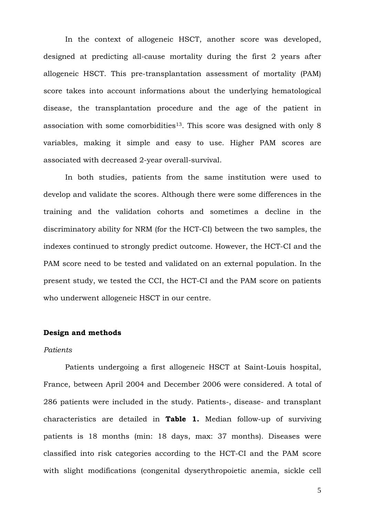In the context of allogeneic HSCT, another score was developed, designed at predicting all-cause mortality during the first 2 years after allogeneic HSCT. This pre-transplantation assessment of mortality (PAM) score takes into account informations about the underlying hematological disease, the transplantation procedure and the age of the patient in association with some comorbidities<sup>13</sup>. This score was designed with only  $8$ variables, making it simple and easy to use. Higher PAM scores are associated with decreased 2-year overall-survival.

In both studies, patients from the same institution were used to develop and validate the scores. Although there were some differences in the training and the validation cohorts and sometimes a decline in the discriminatory ability for NRM (for the HCT-CI) between the two samples, the indexes continued to strongly predict outcome. However, the HCT-CI and the PAM score need to be tested and validated on an external population. In the present study, we tested the CCI, the HCT-CI and the PAM score on patients who underwent allogeneic HSCT in our centre.

#### **Design and methods**

## *Patients*

Patients undergoing a first allogeneic HSCT at Saint-Louis hospital, France, between April 2004 and December 2006 were considered. A total of 286 patients were included in the study. Patients-, disease- and transplant characteristics are detailed in **Table 1.** Median follow-up of surviving patients is 18 months (min: 18 days, max: 37 months). Diseases were classified into risk categories according to the HCT-CI and the PAM score with slight modifications (congenital dyserythropoietic anemia, sickle cell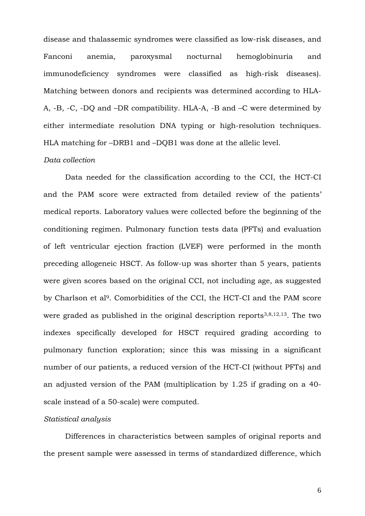disease and thalassemic syndromes were classified as low-risk diseases, and Fanconi anemia, paroxysmal nocturnal hemoglobinuria and immunodeficiency syndromes were classified as high-risk diseases). Matching between donors and recipients was determined according to HLA-A, -B, -C, -DQ and –DR compatibility. HLA-A, -B and –C were determined by either intermediate resolution DNA typing or high-resolution techniques. HLA matching for –DRB1 and –DQB1 was done at the allelic level.

## *Data collection*

Data needed for the classification according to the CCI, the HCT-CI and the PAM score were extracted from detailed review of the patients' medical reports. Laboratory values were collected before the beginning of the conditioning regimen. Pulmonary function tests data (PFTs) and evaluation of left ventricular ejection fraction (LVEF) were performed in the month preceding allogeneic HSCT. As follow-up was shorter than 5 years, patients were given scores based on the original CCI, not including age, as suggested by Charlson et al9. Comorbidities of the CCI, the HCT-CI and the PAM score were graded as published in the original description reports<sup>3,8,12,13</sup>. The two indexes specifically developed for HSCT required grading according to pulmonary function exploration; since this was missing in a significant number of our patients, a reduced version of the HCT-CI (without PFTs) and an adjusted version of the PAM (multiplication by 1.25 if grading on a 40 scale instead of a 50-scale) were computed.

#### *Statistical analysis*

Differences in characteristics between samples of original reports and the present sample were assessed in terms of standardized difference, which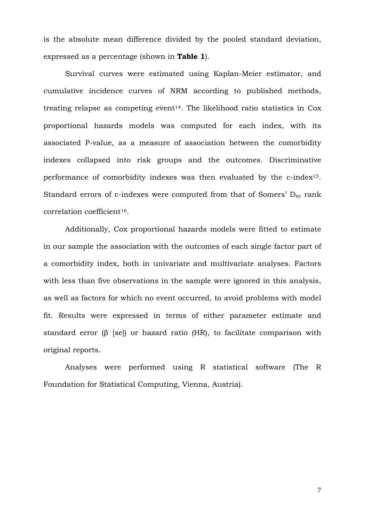is the absolute mean difference divided by the pooled standard deviation, expressed as a percentage (shown in **Table 1**).

Survival curves were estimated using Kaplan-Meier estimator, and cumulative incidence curves of NRM according to published methods, treating relapse as competing event<sup>14</sup>. The likelihood ratio statistics in  $Cox$ proportional hazards models was computed for each index, with its associated P-value, as a measure of association between the comorbidity indexes collapsed into risk groups and the outcomes. Discriminative performance of comorbidity indexes was then evaluated by the c-index15. Standard errors of c-indexes were computed from that of Somers'  $D_{xy}$  rank correlation coefficient16.

Additionally, Cox proportional hazards models were fitted to estimate in our sample the association with the outcomes of each single factor part of a comorbidity index, both in univariate and multivariate analyses. Factors with less than five observations in the sample were ignored in this analysis, as well as factors for which no event occurred, to avoid problems with model fit. Results were expressed in terms of either parameter estimate and standard error (β [se]) or hazard ratio (HR), to facilitate comparison with original reports.

Analyses were performed using R statistical software (The R Foundation for Statistical Computing, Vienna, Austria).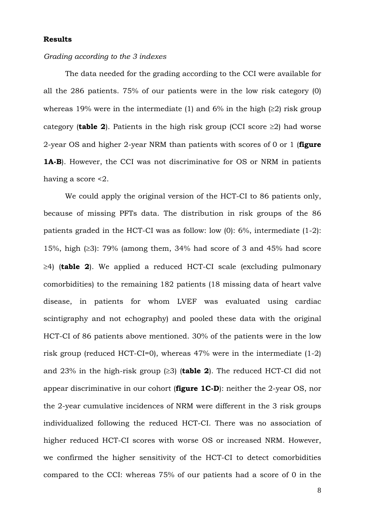#### **Results**

#### *Grading according to the 3 indexes*

The data needed for the grading according to the CCI were available for all the 286 patients. 75% of our patients were in the low risk category (0) whereas 19% were in the intermediate (1) and 6% in the high  $(\geq 2)$  risk group category (**table 2**). Patients in the high risk group (CCI score ≥2) had worse 2-year OS and higher 2-year NRM than patients with scores of 0 or 1 (**figure 1A-B**). However, the CCI was not discriminative for OS or NRM in patients having a score <2.

We could apply the original version of the HCT-CI to 86 patients only, because of missing PFTs data. The distribution in risk groups of the 86 patients graded in the HCT-CI was as follow: low (0): 6%, intermediate (1-2): 15%, high (≥3): 79% (among them, 34% had score of 3 and 45% had score ≥4) (**table 2**). We applied a reduced HCT-CI scale (excluding pulmonary comorbidities) to the remaining 182 patients (18 missing data of heart valve disease, in patients for whom LVEF was evaluated using cardiac scintigraphy and not echography) and pooled these data with the original HCT-CI of 86 patients above mentioned. 30% of the patients were in the low risk group (reduced HCT-CI=0), whereas 47% were in the intermediate (1-2) and 23% in the high-risk group (≥3) (**table 2**). The reduced HCT-CI did not appear discriminative in our cohort (**figure 1C-D**): neither the 2-year OS, nor the 2-year cumulative incidences of NRM were different in the 3 risk groups individualized following the reduced HCT-CI. There was no association of higher reduced HCT-CI scores with worse OS or increased NRM. However, we confirmed the higher sensitivity of the HCT-CI to detect comorbidities compared to the CCI: whereas 75% of our patients had a score of 0 in the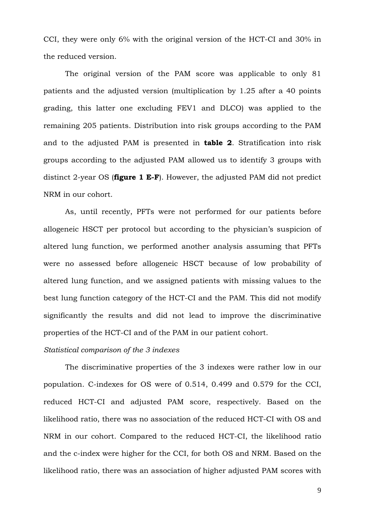CCI, they were only 6% with the original version of the HCT-CI and 30% in the reduced version.

The original version of the PAM score was applicable to only 81 patients and the adjusted version (multiplication by 1.25 after a 40 points grading, this latter one excluding FEV1 and DLCO) was applied to the remaining 205 patients. Distribution into risk groups according to the PAM and to the adjusted PAM is presented in **table 2**. Stratification into risk groups according to the adjusted PAM allowed us to identify 3 groups with distinct 2-year OS (**figure 1 E-F**). However, the adjusted PAM did not predict NRM in our cohort.

As, until recently, PFTs were not performed for our patients before allogeneic HSCT per protocol but according to the physician's suspicion of altered lung function, we performed another analysis assuming that PFTs were no assessed before allogeneic HSCT because of low probability of altered lung function, and we assigned patients with missing values to the best lung function category of the HCT-CI and the PAM. This did not modify significantly the results and did not lead to improve the discriminative properties of the HCT-CI and of the PAM in our patient cohort.

## *Statistical comparison of the 3 indexes*

The discriminative properties of the 3 indexes were rather low in our population. C-indexes for OS were of 0.514, 0.499 and 0.579 for the CCI, reduced HCT-CI and adjusted PAM score, respectively. Based on the likelihood ratio, there was no association of the reduced HCT-CI with OS and NRM in our cohort. Compared to the reduced HCT-CI, the likelihood ratio and the c-index were higher for the CCI, for both OS and NRM. Based on the likelihood ratio, there was an association of higher adjusted PAM scores with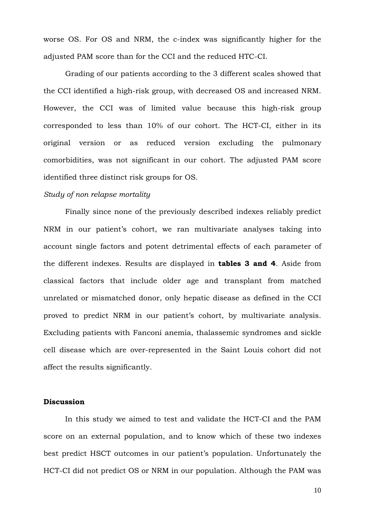worse OS. For OS and NRM, the c-index was significantly higher for the adjusted PAM score than for the CCI and the reduced HTC-CI.

Grading of our patients according to the 3 different scales showed that the CCI identified a high-risk group, with decreased OS and increased NRM. However, the CCI was of limited value because this high-risk group corresponded to less than 10% of our cohort. The HCT-CI, either in its original version or as reduced version excluding the pulmonary comorbidities, was not significant in our cohort. The adjusted PAM score identified three distinct risk groups for OS.

## *Study of non relapse mortality*

Finally since none of the previously described indexes reliably predict NRM in our patient's cohort, we ran multivariate analyses taking into account single factors and potent detrimental effects of each parameter of the different indexes. Results are displayed in **tables 3 and 4**. Aside from classical factors that include older age and transplant from matched unrelated or mismatched donor, only hepatic disease as defined in the CCI proved to predict NRM in our patient's cohort, by multivariate analysis. Excluding patients with Fanconi anemia, thalassemic syndromes and sickle cell disease which are over-represented in the Saint Louis cohort did not affect the results significantly.

## **Discussion**

In this study we aimed to test and validate the HCT-CI and the PAM score on an external population, and to know which of these two indexes best predict HSCT outcomes in our patient's population. Unfortunately the HCT-CI did not predict OS or NRM in our population. Although the PAM was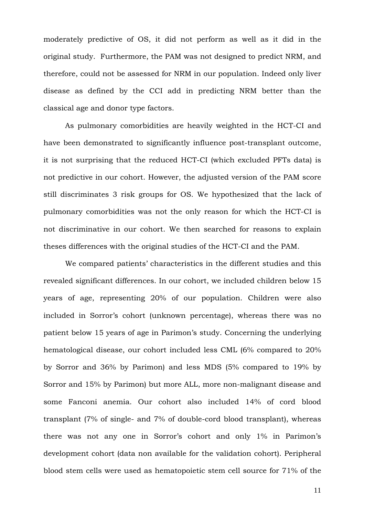moderately predictive of OS, it did not perform as well as it did in the original study. Furthermore, the PAM was not designed to predict NRM, and therefore, could not be assessed for NRM in our population. Indeed only liver disease as defined by the CCI add in predicting NRM better than the classical age and donor type factors.

As pulmonary comorbidities are heavily weighted in the HCT-CI and have been demonstrated to significantly influence post-transplant outcome, it is not surprising that the reduced HCT-CI (which excluded PFTs data) is not predictive in our cohort. However, the adjusted version of the PAM score still discriminates 3 risk groups for OS. We hypothesized that the lack of pulmonary comorbidities was not the only reason for which the HCT-CI is not discriminative in our cohort. We then searched for reasons to explain theses differences with the original studies of the HCT-CI and the PAM.

We compared patients' characteristics in the different studies and this revealed significant differences. In our cohort, we included children below 15 years of age, representing 20% of our population. Children were also included in Sorror's cohort (unknown percentage), whereas there was no patient below 15 years of age in Parimon's study. Concerning the underlying hematological disease, our cohort included less CML (6% compared to 20% by Sorror and 36% by Parimon) and less MDS (5% compared to 19% by Sorror and 15% by Parimon) but more ALL, more non-malignant disease and some Fanconi anemia. Our cohort also included 14% of cord blood transplant (7% of single- and 7% of double-cord blood transplant), whereas there was not any one in Sorror's cohort and only 1% in Parimon's development cohort (data non available for the validation cohort). Peripheral blood stem cells were used as hematopoietic stem cell source for 71% of the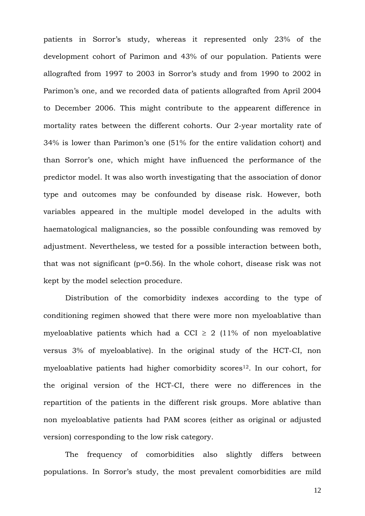patients in Sorror's study, whereas it represented only 23% of the development cohort of Parimon and 43% of our population. Patients were allografted from 1997 to 2003 in Sorror's study and from 1990 to 2002 in Parimon's one, and we recorded data of patients allografted from April 2004 to December 2006. This might contribute to the appearent difference in mortality rates between the different cohorts. Our 2-year mortality rate of 34% is lower than Parimon's one (51% for the entire validation cohort) and than Sorror's one, which might have influenced the performance of the predictor model. It was also worth investigating that the association of donor type and outcomes may be confounded by disease risk. However, both variables appeared in the multiple model developed in the adults with haematological malignancies, so the possible confounding was removed by adjustment. Nevertheless, we tested for a possible interaction between both, that was not significant (p=0.56). In the whole cohort, disease risk was not kept by the model selection procedure.

Distribution of the comorbidity indexes according to the type of conditioning regimen showed that there were more non myeloablative than myeloablative patients which had a CCI  $\geq$  2 (11% of non myeloablative versus 3% of myeloablative). In the original study of the HCT-CI, non myeloablative patients had higher comorbidity scores<sup>12</sup>. In our cohort, for the original version of the HCT-CI, there were no differences in the repartition of the patients in the different risk groups. More ablative than non myeloablative patients had PAM scores (either as original or adjusted version) corresponding to the low risk category.

The frequency of comorbidities also slightly differs between populations. In Sorror's study, the most prevalent comorbidities are mild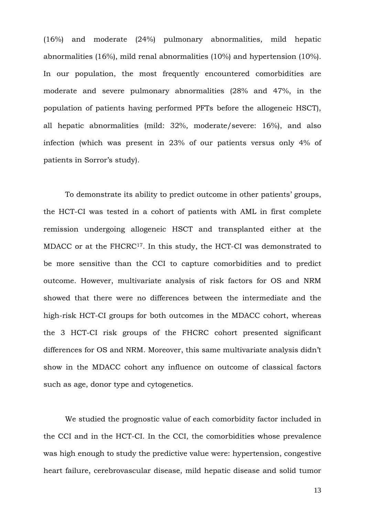(16%) and moderate (24%) pulmonary abnormalities, mild hepatic abnormalities (16%), mild renal abnormalities (10%) and hypertension (10%). In our population, the most frequently encountered comorbidities are moderate and severe pulmonary abnormalities (28% and 47%, in the population of patients having performed PFTs before the allogeneic HSCT), all hepatic abnormalities (mild: 32%, moderate/severe: 16%), and also infection (which was present in 23% of our patients versus only 4% of patients in Sorror's study).

To demonstrate its ability to predict outcome in other patients' groups, the HCT-CI was tested in a cohort of patients with AML in first complete remission undergoing allogeneic HSCT and transplanted either at the MDACC or at the FHCRC17. In this study, the HCT-CI was demonstrated to be more sensitive than the CCI to capture comorbidities and to predict outcome. However, multivariate analysis of risk factors for OS and NRM showed that there were no differences between the intermediate and the high-risk HCT-CI groups for both outcomes in the MDACC cohort, whereas the 3 HCT-CI risk groups of the FHCRC cohort presented significant differences for OS and NRM. Moreover, this same multivariate analysis didn't show in the MDACC cohort any influence on outcome of classical factors such as age, donor type and cytogenetics.

We studied the prognostic value of each comorbidity factor included in the CCI and in the HCT-CI. In the CCI, the comorbidities whose prevalence was high enough to study the predictive value were: hypertension, congestive heart failure, cerebrovascular disease, mild hepatic disease and solid tumor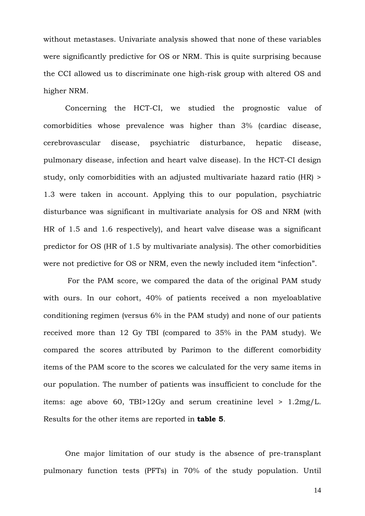without metastases. Univariate analysis showed that none of these variables were significantly predictive for OS or NRM. This is quite surprising because the CCI allowed us to discriminate one high-risk group with altered OS and higher NRM.

Concerning the HCT-CI, we studied the prognostic value of comorbidities whose prevalence was higher than 3% (cardiac disease, cerebrovascular disease, psychiatric disturbance, hepatic disease, pulmonary disease, infection and heart valve disease). In the HCT-CI design study, only comorbidities with an adjusted multivariate hazard ratio (HR) > 1.3 were taken in account. Applying this to our population, psychiatric disturbance was significant in multivariate analysis for OS and NRM (with HR of 1.5 and 1.6 respectively), and heart valve disease was a significant predictor for OS (HR of 1.5 by multivariate analysis). The other comorbidities were not predictive for OS or NRM, even the newly included item "infection".

 For the PAM score, we compared the data of the original PAM study with ours. In our cohort, 40% of patients received a non myeloablative conditioning regimen (versus 6% in the PAM study) and none of our patients received more than 12 Gy TBI (compared to 35% in the PAM study). We compared the scores attributed by Parimon to the different comorbidity items of the PAM score to the scores we calculated for the very same items in our population. The number of patients was insufficient to conclude for the items: age above 60, TBI>12Gy and serum creatinine level > 1.2mg/L. Results for the other items are reported in **table 5**.

One major limitation of our study is the absence of pre-transplant pulmonary function tests (PFTs) in 70% of the study population. Until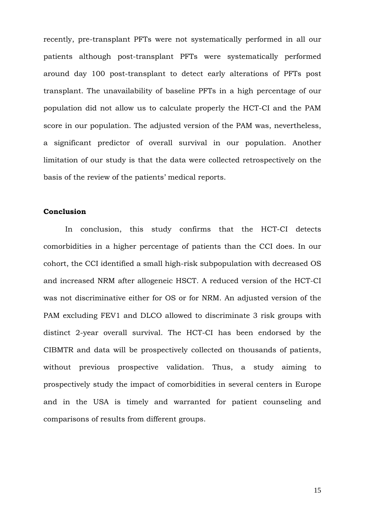recently, pre-transplant PFTs were not systematically performed in all our patients although post-transplant PFTs were systematically performed around day 100 post-transplant to detect early alterations of PFTs post transplant. The unavailability of baseline PFTs in a high percentage of our population did not allow us to calculate properly the HCT-CI and the PAM score in our population. The adjusted version of the PAM was, nevertheless, a significant predictor of overall survival in our population. Another limitation of our study is that the data were collected retrospectively on the basis of the review of the patients' medical reports.

## **Conclusion**

In conclusion, this study confirms that the HCT-CI detects comorbidities in a higher percentage of patients than the CCI does. In our cohort, the CCI identified a small high-risk subpopulation with decreased OS and increased NRM after allogeneic HSCT. A reduced version of the HCT-CI was not discriminative either for OS or for NRM. An adjusted version of the PAM excluding FEV1 and DLCO allowed to discriminate 3 risk groups with distinct 2-year overall survival. The HCT-CI has been endorsed by the CIBMTR and data will be prospectively collected on thousands of patients, without previous prospective validation. Thus, a study aiming to prospectively study the impact of comorbidities in several centers in Europe and in the USA is timely and warranted for patient counseling and comparisons of results from different groups.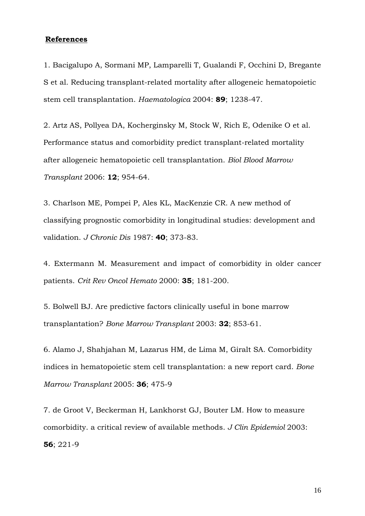## **References**

1. Bacigalupo A, Sormani MP, Lamparelli T, Gualandi F, Occhini D, Bregante S et al. Reducing transplant-related mortality after allogeneic hematopoietic stem cell transplantation. *Haematologica* 2004: **89**; 1238-47.

2. Artz AS, Pollyea DA, Kocherginsky M, Stock W, Rich E, Odenike O et al. Performance status and comorbidity predict transplant-related mortality after allogeneic hematopoietic cell transplantation. *Biol Blood Marrow Transplant* 2006: **12**; 954-64.

3. [Charlson ME](http://www.ncbi.nlm.nih.gov/sites/entrez?Db=pubmed&Cmd=Search&Term=%22Charlson%20ME%22%5BAuthor%5D&itool=EntrezSystem2.PEntrez.Pubmed.Pubmed_ResultsPanel.Pubmed_RVAbstractPlus), [Pompei P,](http://www.ncbi.nlm.nih.gov/sites/entrez?Db=pubmed&Cmd=Search&Term=%22Pompei%20P%22%5BAuthor%5D&itool=EntrezSystem2.PEntrez.Pubmed.Pubmed_ResultsPanel.Pubmed_RVAbstractPlus) [Ales KL](http://www.ncbi.nlm.nih.gov/sites/entrez?Db=pubmed&Cmd=Search&Term=%22Ales%20KL%22%5BAuthor%5D&itool=EntrezSystem2.PEntrez.Pubmed.Pubmed_ResultsPanel.Pubmed_RVAbstractPlus), [MacKenzie CR](http://www.ncbi.nlm.nih.gov/sites/entrez?Db=pubmed&Cmd=Search&Term=%22MacKenzie%20CR%22%5BAuthor%5D&itool=EntrezSystem2.PEntrez.Pubmed.Pubmed_ResultsPanel.Pubmed_RVAbstractPlus). A new method of classifying prognostic comorbidity in longitudinal studies: development and validation. *[J Chronic Dis](javascript:AL_get(this,%20)* 1987: **40**; 373-83.

4. Extermann M. Measurement and impact of comorbidity in older cancer patients. *Crit Rev Oncol Hemato* 2000: **35**; 181-200.

5. Bolwell BJ. Are predictive factors clinically useful in bone marrow transplantation? *Bone Marrow Transplant* 2003: **32**; 853-61.

6. Alamo J, Shahjahan M, Lazarus HM, de Lima M, Giralt SA. Comorbidity indices in hematopoietic stem cell transplantation: a new report card. *Bone Marrow Transplant* 2005: **36**; 475-9

7. [de Groot V,](http://www.ncbi.nlm.nih.gov/sites/entrez?Db=pubmed&Cmd=Search&Term=%22de%20Groot%20V%22%5BAuthor%5D&itool=EntrezSystem2.PEntrez.Pubmed.Pubmed_ResultsPanel.Pubmed_RVAbstractPlus) [Beckerman H](http://www.ncbi.nlm.nih.gov/sites/entrez?Db=pubmed&Cmd=Search&Term=%22Beckerman%20H%22%5BAuthor%5D&itool=EntrezSystem2.PEntrez.Pubmed.Pubmed_ResultsPanel.Pubmed_RVAbstractPlus), [Lankhorst GJ,](http://www.ncbi.nlm.nih.gov/sites/entrez?Db=pubmed&Cmd=Search&Term=%22Lankhorst%20GJ%22%5BAuthor%5D&itool=EntrezSystem2.PEntrez.Pubmed.Pubmed_ResultsPanel.Pubmed_RVAbstractPlus) [Bouter LM](http://www.ncbi.nlm.nih.gov/sites/entrez?Db=pubmed&Cmd=Search&Term=%22Bouter%20LM%22%5BAuthor%5D&itool=EntrezSystem2.PEntrez.Pubmed.Pubmed_ResultsPanel.Pubmed_RVAbstractPlus). How to measure comorbidity. a critical review of available methods. *[J Clin Epidemiol](javascript:AL_get(this,%20)* 2003: **56**; 221-9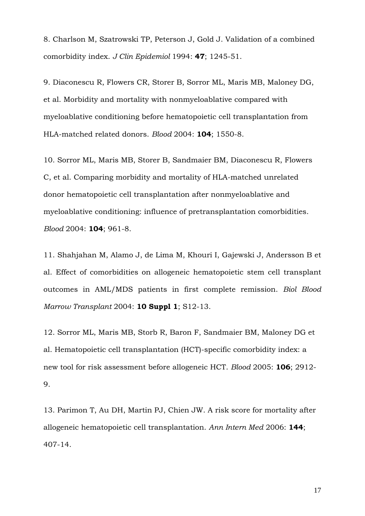8. Charlson M, Szatrowski TP, Peterson J, Gold J. Validation of a combined comorbidity index. *J Clin Epidemiol* 1994: **47**; 1245-51.

9. [Diaconescu R](http://www.ncbi.nlm.nih.gov/sites/entrez?Db=pubmed&Cmd=Search&Term=%22Diaconescu%20R%22%5BAuthor%5D&itool=EntrezSystem2.PEntrez.Pubmed.Pubmed_ResultsPanel.Pubmed_RVAbstractPlus), [Flowers CR,](http://www.ncbi.nlm.nih.gov/sites/entrez?Db=pubmed&Cmd=Search&Term=%22Flowers%20CR%22%5BAuthor%5D&itool=EntrezSystem2.PEntrez.Pubmed.Pubmed_ResultsPanel.Pubmed_RVAbstractPlus) [Storer B](http://www.ncbi.nlm.nih.gov/sites/entrez?Db=pubmed&Cmd=Search&Term=%22Storer%20B%22%5BAuthor%5D&itool=EntrezSystem2.PEntrez.Pubmed.Pubmed_ResultsPanel.Pubmed_RVAbstractPlus), [Sorror ML,](http://www.ncbi.nlm.nih.gov/sites/entrez?Db=pubmed&Cmd=Search&Term=%22Sorror%20ML%22%5BAuthor%5D&itool=EntrezSystem2.PEntrez.Pubmed.Pubmed_ResultsPanel.Pubmed_RVAbstractPlus) [Maris MB,](http://www.ncbi.nlm.nih.gov/sites/entrez?Db=pubmed&Cmd=Search&Term=%22Maris%20MB%22%5BAuthor%5D&itool=EntrezSystem2.PEntrez.Pubmed.Pubmed_ResultsPanel.Pubmed_RVAbstractPlus) [Maloney DG](http://www.ncbi.nlm.nih.gov/sites/entrez?Db=pubmed&Cmd=Search&Term=%22Maloney%20DG%22%5BAuthor%5D&itool=EntrezSystem2.PEntrez.Pubmed.Pubmed_ResultsPanel.Pubmed_RVAbstractPlus), et al. Morbidity and mortality with nonmyeloablative compared with myeloablative conditioning before hematopoietic cell transplantation from HLA-matched related donors. *[Blood](javascript:AL_get(this,%20)* 2004: **104**; 1550-8.

10. [Sorror ML,](http://www.ncbi.nlm.nih.gov/sites/entrez?Db=pubmed&Cmd=Search&Term=%22Sorror%20ML%22%5BAuthor%5D&itool=EntrezSystem2.PEntrez.Pubmed.Pubmed_ResultsPanel.Pubmed_RVAbstractPlusDrugs1) [Maris MB](http://www.ncbi.nlm.nih.gov/sites/entrez?Db=pubmed&Cmd=Search&Term=%22Maris%20MB%22%5BAuthor%5D&itool=EntrezSystem2.PEntrez.Pubmed.Pubmed_ResultsPanel.Pubmed_RVAbstractPlusDrugs1), [Storer B,](http://www.ncbi.nlm.nih.gov/sites/entrez?Db=pubmed&Cmd=Search&Term=%22Storer%20B%22%5BAuthor%5D&itool=EntrezSystem2.PEntrez.Pubmed.Pubmed_ResultsPanel.Pubmed_RVAbstractPlusDrugs1) [Sandmaier BM,](http://www.ncbi.nlm.nih.gov/sites/entrez?Db=pubmed&Cmd=Search&Term=%22Sandmaier%20BM%22%5BAuthor%5D&itool=EntrezSystem2.PEntrez.Pubmed.Pubmed_ResultsPanel.Pubmed_RVAbstractPlusDrugs1) [Diaconescu R,](http://www.ncbi.nlm.nih.gov/sites/entrez?Db=pubmed&Cmd=Search&Term=%22Diaconescu%20R%22%5BAuthor%5D&itool=EntrezSystem2.PEntrez.Pubmed.Pubmed_ResultsPanel.Pubmed_RVAbstractPlusDrugs1) [Flowers](http://www.ncbi.nlm.nih.gov/sites/entrez?Db=pubmed&Cmd=Search&Term=%22Flowers%20C%22%5BAuthor%5D&itool=EntrezSystem2.PEntrez.Pubmed.Pubmed_ResultsPanel.Pubmed_RVAbstractPlusDrugs1)  [C,](http://www.ncbi.nlm.nih.gov/sites/entrez?Db=pubmed&Cmd=Search&Term=%22Flowers%20C%22%5BAuthor%5D&itool=EntrezSystem2.PEntrez.Pubmed.Pubmed_ResultsPanel.Pubmed_RVAbstractPlusDrugs1) et al. Comparing morbidity and mortality of HLA-matched unrelated donor hematopoietic cell transplantation after nonmyeloablative and myeloablative conditioning: influence of pretransplantation comorbidities. *[Blood](javascript:AL_get(this,%20)* 2004: **104**; 961-8.

11. Shahjahan M, Alamo J, de Lima M, Khouri I, Gajewski J, Andersson B et al. Effect of comorbidities on allogeneic hematopoietic stem cell transplant outcomes in AML/MDS patients in first complete remission. *Biol Blood Marrow Transplant* 2004: **10 Suppl 1**; S12-13.

12. [Sorror ML,](http://www.ncbi.nlm.nih.gov/sites/entrez?Db=pubmed&Cmd=Search&Term=%22Sorror%20ML%22%5BAuthor%5D&itool=EntrezSystem2.PEntrez.Pubmed.Pubmed_ResultsPanel.Pubmed_RVAbstractPlusDrugs1) [Maris MB](http://www.ncbi.nlm.nih.gov/sites/entrez?Db=pubmed&Cmd=Search&Term=%22Maris%20MB%22%5BAuthor%5D&itool=EntrezSystem2.PEntrez.Pubmed.Pubmed_ResultsPanel.Pubmed_RVAbstractPlusDrugs1), [Storb R](http://www.ncbi.nlm.nih.gov/sites/entrez?Db=pubmed&Cmd=Search&Term=%22Storb%20R%22%5BAuthor%5D&itool=EntrezSystem2.PEntrez.Pubmed.Pubmed_ResultsPanel.Pubmed_RVAbstractPlusDrugs1), [Baron F](http://www.ncbi.nlm.nih.gov/sites/entrez?Db=pubmed&Cmd=Search&Term=%22Baron%20F%22%5BAuthor%5D&itool=EntrezSystem2.PEntrez.Pubmed.Pubmed_ResultsPanel.Pubmed_RVAbstractPlusDrugs1), [Sandmaier BM](http://www.ncbi.nlm.nih.gov/sites/entrez?Db=pubmed&Cmd=Search&Term=%22Sandmaier%20BM%22%5BAuthor%5D&itool=EntrezSystem2.PEntrez.Pubmed.Pubmed_ResultsPanel.Pubmed_RVAbstractPlusDrugs1), [Maloney DG](http://www.ncbi.nlm.nih.gov/sites/entrez?Db=pubmed&Cmd=Search&Term=%22Maloney%20DG%22%5BAuthor%5D&itool=EntrezSystem2.PEntrez.Pubmed.Pubmed_ResultsPanel.Pubmed_RVAbstractPlusDrugs1) et al. Hematopoietic cell transplantation (HCT)-specific comorbidity index: a new tool for risk assessment before allogeneic HCT. *[Blood](javascript:AL_get(this,%20)* 2005: **106**; 2912- 9.

13. [Parimon T,](http://www.ncbi.nlm.nih.gov/sites/entrez?Db=pubmed&Cmd=Search&Term=%22Parimon%20T%22%5BAuthor%5D&itool=EntrezSystem2.PEntrez.Pubmed.Pubmed_ResultsPanel.Pubmed_RVAbstractPlusDrugs1) [Au DH](http://www.ncbi.nlm.nih.gov/sites/entrez?Db=pubmed&Cmd=Search&Term=%22Au%20DH%22%5BAuthor%5D&itool=EntrezSystem2.PEntrez.Pubmed.Pubmed_ResultsPanel.Pubmed_RVAbstractPlusDrugs1), [Martin PJ,](http://www.ncbi.nlm.nih.gov/sites/entrez?Db=pubmed&Cmd=Search&Term=%22Martin%20PJ%22%5BAuthor%5D&itool=EntrezSystem2.PEntrez.Pubmed.Pubmed_ResultsPanel.Pubmed_RVAbstractPlusDrugs1) [Chien JW](http://www.ncbi.nlm.nih.gov/sites/entrez?Db=pubmed&Cmd=Search&Term=%22Chien%20JW%22%5BAuthor%5D&itool=EntrezSystem2.PEntrez.Pubmed.Pubmed_ResultsPanel.Pubmed_RVAbstractPlusDrugs1). A risk score for mortality after allogeneic hematopoietic cell transplantation. *[Ann Intern Med](javascript:AL_get(this,%20)* 2006: **144**; 407-14.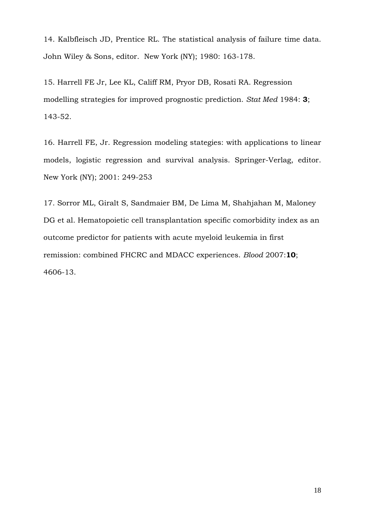14. Kalbfleisch JD, Prentice RL. The statistical analysis of failure time data. John Wiley & Sons, editor. New York (NY); 1980: 163-178.

15. [Harrell FE Jr,](http://www.ncbi.nlm.nih.gov/sites/entrez?Db=pubmed&Cmd=Search&Term=%22Harrell%20FE%20Jr%22%5BAuthor%5D&itool=EntrezSystem2.PEntrez.Pubmed.Pubmed_ResultsPanel.Pubmed_RVAbstractPlus) [Lee KL,](http://www.ncbi.nlm.nih.gov/sites/entrez?Db=pubmed&Cmd=Search&Term=%22Lee%20KL%22%5BAuthor%5D&itool=EntrezSystem2.PEntrez.Pubmed.Pubmed_ResultsPanel.Pubmed_RVAbstractPlus) [Califf RM](http://www.ncbi.nlm.nih.gov/sites/entrez?Db=pubmed&Cmd=Search&Term=%22Califf%20RM%22%5BAuthor%5D&itool=EntrezSystem2.PEntrez.Pubmed.Pubmed_ResultsPanel.Pubmed_RVAbstractPlus), [Pryor DB,](http://www.ncbi.nlm.nih.gov/sites/entrez?Db=pubmed&Cmd=Search&Term=%22Pryor%20DB%22%5BAuthor%5D&itool=EntrezSystem2.PEntrez.Pubmed.Pubmed_ResultsPanel.Pubmed_RVAbstractPlus) [Rosati RA.](http://www.ncbi.nlm.nih.gov/sites/entrez?Db=pubmed&Cmd=Search&Term=%22Rosati%20RA%22%5BAuthor%5D&itool=EntrezSystem2.PEntrez.Pubmed.Pubmed_ResultsPanel.Pubmed_RVAbstractPlus) Regression modelling strategies for improved prognostic prediction. *[Stat Med](javascript:AL_get(this,%20)* 1984: **3**; 143-52.

16. Harrell FE, Jr. Regression modeling stategies: with applications to linear models, logistic regression and survival analysis. Springer-Verlag, editor. New York (NY); 2001: 249-253

17. [Sorror ML,](http://www.ncbi.nlm.nih.gov/sites/entrez?Db=pubmed&Cmd=Search&Term=%22Sorror%20ML%22%5BAuthor%5D&itool=EntrezSystem2.PEntrez.Pubmed.Pubmed_ResultsPanel.Pubmed_RVAbstractPlusDrugs1) [Giralt S,](http://www.ncbi.nlm.nih.gov/sites/entrez?Db=pubmed&Cmd=Search&Term=%22Giralt%20S%22%5BAuthor%5D&itool=EntrezSystem2.PEntrez.Pubmed.Pubmed_ResultsPanel.Pubmed_RVAbstractPlusDrugs1) [Sandmaier BM,](http://www.ncbi.nlm.nih.gov/sites/entrez?Db=pubmed&Cmd=Search&Term=%22Sandmaier%20BM%22%5BAuthor%5D&itool=EntrezSystem2.PEntrez.Pubmed.Pubmed_ResultsPanel.Pubmed_RVAbstractPlusDrugs1) [De Lima M](http://www.ncbi.nlm.nih.gov/sites/entrez?Db=pubmed&Cmd=Search&Term=%22De%20Lima%20M%22%5BAuthor%5D&itool=EntrezSystem2.PEntrez.Pubmed.Pubmed_ResultsPanel.Pubmed_RVAbstractPlusDrugs1), [Shahjahan M,](http://www.ncbi.nlm.nih.gov/sites/entrez?Db=pubmed&Cmd=Search&Term=%22Shahjahan%20M%22%5BAuthor%5D&itool=EntrezSystem2.PEntrez.Pubmed.Pubmed_ResultsPanel.Pubmed_RVAbstractPlusDrugs1) [Maloney](http://www.ncbi.nlm.nih.gov/sites/entrez?Db=pubmed&Cmd=Search&Term=%22Maloney%20DG%22%5BAuthor%5D&itool=EntrezSystem2.PEntrez.Pubmed.Pubmed_ResultsPanel.Pubmed_RVAbstractPlusDrugs1)  [DG](http://www.ncbi.nlm.nih.gov/sites/entrez?Db=pubmed&Cmd=Search&Term=%22Maloney%20DG%22%5BAuthor%5D&itool=EntrezSystem2.PEntrez.Pubmed.Pubmed_ResultsPanel.Pubmed_RVAbstractPlusDrugs1) et al. Hematopoietic cell transplantation specific comorbidity index as an outcome predictor for patients with acute myeloid leukemia in first remission: combined FHCRC and MDACC experiences. *[Blood](javascript:AL_get(this,%20)* 2007:**10**; 4606-13.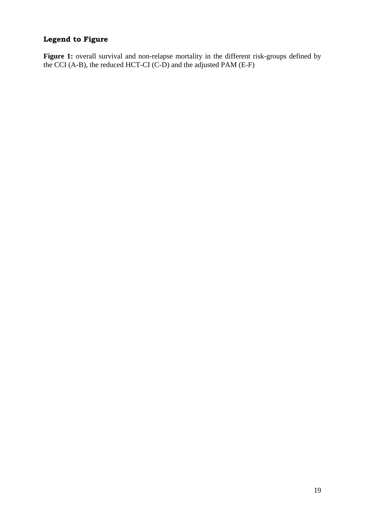# **Legend to Figure**

Figure 1: overall survival and non-relapse mortality in the different risk-groups defined by the CCI (A-B), the reduced HCT-CI (C-D) and the adjusted PAM (E-F)